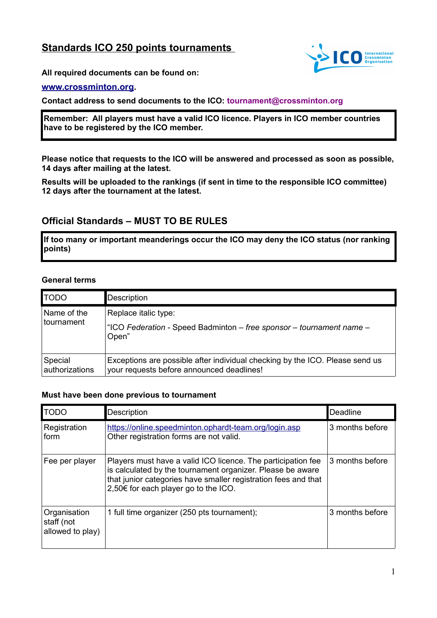# **Standards ICO 250 points tournaments**



**All required documents can be found on:**

#### **[www.crossminton.or](http://www.crossminton.or/)[g.](http://Www.crossminton.org/)**

**Contact address to send documents to the ICO: tournament@crossminton.org**

**Remember: All players must have a valid ICO licence. Players in ICO member countries have to be registered by the ICO member.** 

**Please notice that requests to the ICO will be answered and processed as soon as possible, 14 days after mailing at the latest.**

**Results will be uploaded to the rankings (if sent in time to the responsible ICO committee) 12 days after the tournament at the latest.**

# **Official Standards – MUST TO BE RULES**

**If too many or important meanderings occur the ICO may deny the ICO status (nor ranking points)**

#### **General terms**

| <b>TODO</b>               | Description                                                                                                               |
|---------------------------|---------------------------------------------------------------------------------------------------------------------------|
| Name of the<br>tournament | Replace italic type:<br>"ICO Federation - Speed Badminton – free sponsor – tournament name –<br>Open"                     |
| Special<br>authorizations | Exceptions are possible after individual checking by the ICO. Please send us<br>your requests before announced deadlines! |

#### **Must have been done previous to tournament**

| <b>TODO</b>                                    | Description                                                                                                                                                                                                                          | Deadline        |
|------------------------------------------------|--------------------------------------------------------------------------------------------------------------------------------------------------------------------------------------------------------------------------------------|-----------------|
| Registration<br>form                           | https://online.speedminton.ophardt-team.org/login.asp<br>Other registration forms are not valid.                                                                                                                                     | 3 months before |
| Fee per player                                 | Players must have a valid ICO licence. The participation fee<br>is calculated by the tournament organizer. Please be aware<br>that junior categories have smaller registration fees and that<br>2,50€ for each player go to the ICO. | 3 months before |
| Organisation<br>staff (not<br>allowed to play) | 1 full time organizer (250 pts tournament);                                                                                                                                                                                          | 3 months before |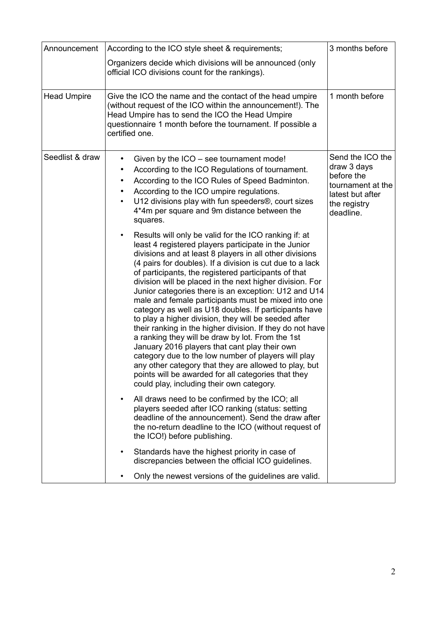| Announcement       | According to the ICO style sheet & requirements;                                                                                                                                                                                                                                                                                                                                                                                                                                                                                                                                                                                                                                                                                                                                                                                                                                                                                                                                             | 3 months before                                                                                                     |
|--------------------|----------------------------------------------------------------------------------------------------------------------------------------------------------------------------------------------------------------------------------------------------------------------------------------------------------------------------------------------------------------------------------------------------------------------------------------------------------------------------------------------------------------------------------------------------------------------------------------------------------------------------------------------------------------------------------------------------------------------------------------------------------------------------------------------------------------------------------------------------------------------------------------------------------------------------------------------------------------------------------------------|---------------------------------------------------------------------------------------------------------------------|
|                    | Organizers decide which divisions will be announced (only<br>official ICO divisions count for the rankings).                                                                                                                                                                                                                                                                                                                                                                                                                                                                                                                                                                                                                                                                                                                                                                                                                                                                                 |                                                                                                                     |
| <b>Head Umpire</b> | Give the ICO the name and the contact of the head umpire<br>(without request of the ICO within the announcement!). The<br>Head Umpire has to send the ICO the Head Umpire<br>questionnaire 1 month before the tournament. If possible a<br>certified one.                                                                                                                                                                                                                                                                                                                                                                                                                                                                                                                                                                                                                                                                                                                                    | 1 month before                                                                                                      |
| Seedlist & draw    | Given by the ICO – see tournament mode!<br>According to the ICO Regulations of tournament.<br>٠<br>According to the ICO Rules of Speed Badminton.<br>٠<br>According to the ICO umpire regulations.<br>٠<br>U12 divisions play with fun speeders®, court sizes<br>4*4m per square and 9m distance between the<br>squares.                                                                                                                                                                                                                                                                                                                                                                                                                                                                                                                                                                                                                                                                     | Send the ICO the<br>draw 3 days<br>before the<br>tournament at the<br>latest but after<br>the registry<br>deadline. |
|                    | Results will only be valid for the ICO ranking if: at<br>$\bullet$<br>least 4 registered players participate in the Junior<br>divisions and at least 8 players in all other divisions<br>(4 pairs for doubles). If a division is cut due to a lack<br>of participants, the registered participants of that<br>division will be placed in the next higher division. For<br>Junior categories there is an exception: U12 and U14<br>male and female participants must be mixed into one<br>category as well as U18 doubles. If participants have<br>to play a higher division, they will be seeded after<br>their ranking in the higher division. If they do not have<br>a ranking they will be draw by lot. From the 1st<br>January 2016 players that cant play their own<br>category due to the low number of players will play<br>any other category that they are allowed to play, but<br>points will be awarded for all categories that they<br>could play, including their own category. |                                                                                                                     |
|                    | All draws need to be confirmed by the ICO; all<br>players seeded after ICO ranking (status: setting<br>deadline of the announcement). Send the draw after<br>the no-return deadline to the ICO (without request of<br>the ICO!) before publishing.                                                                                                                                                                                                                                                                                                                                                                                                                                                                                                                                                                                                                                                                                                                                           |                                                                                                                     |
|                    | Standards have the highest priority in case of<br>discrepancies between the official ICO guidelines.                                                                                                                                                                                                                                                                                                                                                                                                                                                                                                                                                                                                                                                                                                                                                                                                                                                                                         |                                                                                                                     |
|                    | Only the newest versions of the guidelines are valid.                                                                                                                                                                                                                                                                                                                                                                                                                                                                                                                                                                                                                                                                                                                                                                                                                                                                                                                                        |                                                                                                                     |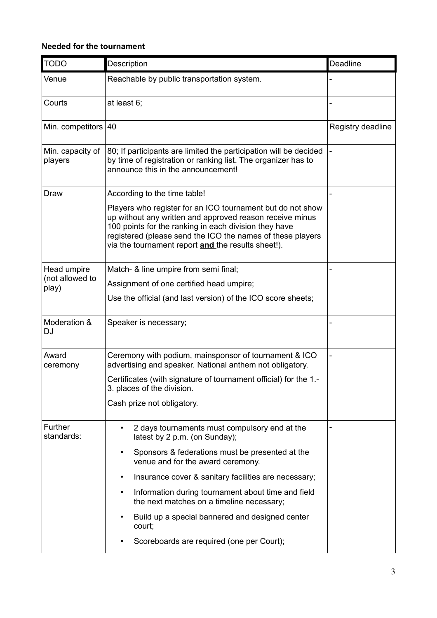### **Needed for the tournament**

| <b>TODO</b>                 | Description                                                                                                                                                                                                                                                                                         | Deadline          |
|-----------------------------|-----------------------------------------------------------------------------------------------------------------------------------------------------------------------------------------------------------------------------------------------------------------------------------------------------|-------------------|
| Venue                       | Reachable by public transportation system.                                                                                                                                                                                                                                                          |                   |
| Courts                      | at least 6;                                                                                                                                                                                                                                                                                         |                   |
| Min. competitors            | 40                                                                                                                                                                                                                                                                                                  | Registry deadline |
| Min. capacity of<br>players | 80; If participants are limited the participation will be decided<br>by time of registration or ranking list. The organizer has to<br>announce this in the announcement!                                                                                                                            |                   |
| Draw                        | According to the time table!                                                                                                                                                                                                                                                                        |                   |
|                             | Players who register for an ICO tournament but do not show<br>up without any written and approved reason receive minus<br>100 points for the ranking in each division they have<br>registered (please send the ICO the names of these players<br>via the tournament report and the results sheet!). |                   |
| Head umpire                 | Match- & line umpire from semi final;                                                                                                                                                                                                                                                               |                   |
| (not allowed to<br>play)    | Assignment of one certified head umpire;                                                                                                                                                                                                                                                            |                   |
|                             | Use the official (and last version) of the ICO score sheets;                                                                                                                                                                                                                                        |                   |
| Moderation &<br><b>DJ</b>   | Speaker is necessary;                                                                                                                                                                                                                                                                               |                   |
| Award<br>ceremony           | Ceremony with podium, mainsponsor of tournament & ICO<br>advertising and speaker. National anthem not obligatory.                                                                                                                                                                                   |                   |
|                             | Certificates (with signature of tournament official) for the 1.-<br>3. places of the division.                                                                                                                                                                                                      |                   |
|                             | Cash prize not obligatory.                                                                                                                                                                                                                                                                          |                   |
| Further<br>standards:       | 2 days tournaments must compulsory end at the<br>latest by 2 p.m. (on Sunday);                                                                                                                                                                                                                      |                   |
|                             | Sponsors & federations must be presented at the<br>venue and for the award ceremony.                                                                                                                                                                                                                |                   |
|                             | Insurance cover & sanitary facilities are necessary;<br>$\bullet$                                                                                                                                                                                                                                   |                   |
|                             | Information during tournament about time and field<br>$\bullet$<br>the next matches on a timeline necessary;                                                                                                                                                                                        |                   |
|                             | Build up a special bannered and designed center<br>court;                                                                                                                                                                                                                                           |                   |
|                             | Scoreboards are required (one per Court);                                                                                                                                                                                                                                                           |                   |